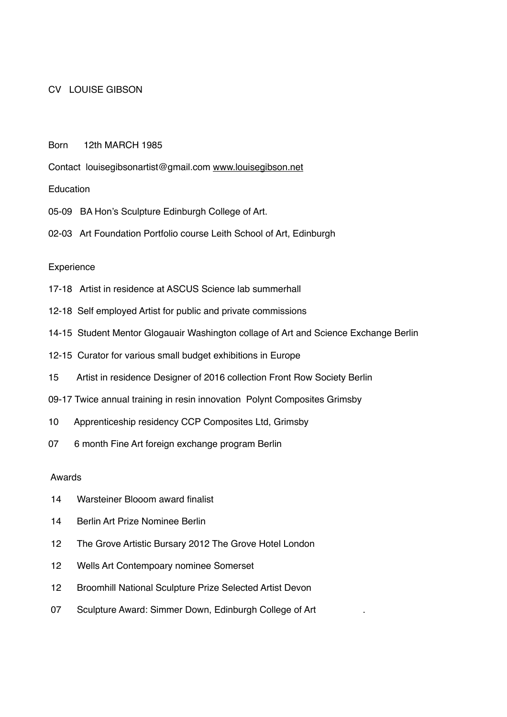## CV LOUISE GIBSON

Born 12th MARCH 1985

Contact louisegibsonartist@gmail.com [www.louisegibson.net](http://www.louisegibson.net)

**Education** 

- 05-09 BA Hon's Sculpture Edinburgh College of Art.
- 02-03 Art Foundation Portfolio course Leith School of Art, Edinburgh

#### **Experience**

- 17-18 Artist in residence at ASCUS Science lab summerhall
- 12-18 Self employed Artist for public and private commissions
- 14-15 Student Mentor Glogauair Washington collage of Art and Science Exchange Berlin
- 12-15 Curator for various small budget exhibitions in Europe
- 15 Artist in residence Designer of 2016 collection Front Row Society Berlin
- 09-17 Twice annual training in resin innovation Polynt Composites Grimsby
- 10 Apprenticeship residency CCP Composites Ltd, Grimsby
- 07 6 month Fine Art foreign exchange program Berlin

#### Awards

- 14 Warsteiner Blooom award finalist
- 14 Berlin Art Prize Nominee Berlin
- 12 The Grove Artistic Bursary 2012 The Grove Hotel London
- 12 Wells Art Contempoary nominee Somerset
- 12 Broomhill National Sculpture Prize Selected Artist Devon
- 07 Sculpture Award: Simmer Down, Edinburgh College of Art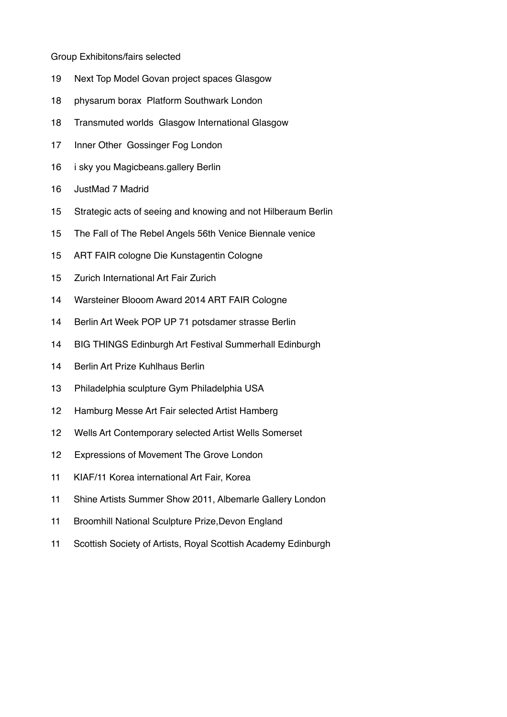### Group Exhibitons/fairs selected

- 19 Next Top Model Govan project spaces Glasgow
- 18 physarum borax Platform Southwark London
- 18 Transmuted worlds Glasgow International Glasgow
- 17 Inner Other Gossinger Fog London
- 16 i sky you Magicbeans.gallery Berlin
- 16 JustMad 7 Madrid
- 15 Strategic acts of seeing and knowing and not Hilberaum Berlin
- 15 The Fall of The Rebel Angels 56th Venice Biennale venice
- 15 ART FAIR cologne Die Kunstagentin Cologne
- 15 Zurich International Art Fair Zurich
- 14 Warsteiner Blooom Award 2014 ART FAIR Cologne
- 14 Berlin Art Week POP UP 71 potsdamer strasse Berlin
- 14 BIG THINGS Edinburgh Art Festival Summerhall Edinburgh
- 14 Berlin Art Prize Kuhlhaus Berlin
- 13 Philadelphia sculpture Gym Philadelphia USA
- 12 Hamburg Messe Art Fair selected Artist Hamberg
- 12 Wells Art Contemporary selected Artist Wells Somerset
- 12 Expressions of Movement The Grove London
- 11 KIAF/11 Korea international Art Fair, Korea
- 11 Shine Artists Summer Show 2011, Albemarle Gallery London
- 11 Broomhill National Sculpture Prize,Devon England
- 11 Scottish Society of Artists, Royal Scottish Academy Edinburgh